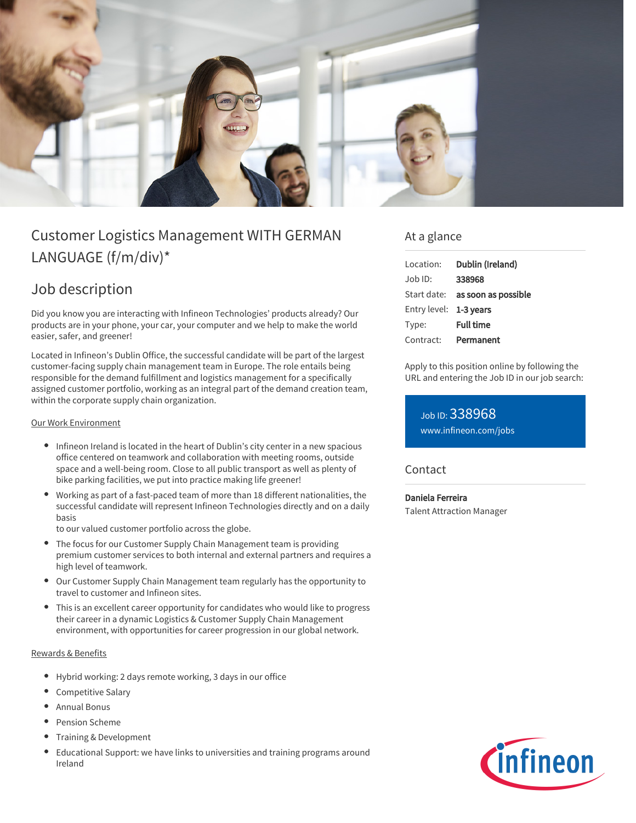

# Customer Logistics Management WITH GERMAN LANGUAGE (f/m/div)\*

## Job description

Did you know you are interacting with Infineon Technologies' products already? Our products are in your phone, your car, your computer and we help to make the world easier, safer, and greener!

Located in Infineon's Dublin Office, the successful candidate will be part of the largest customer-facing supply chain management team in Europe. The role entails being responsible for the demand fulfillment and logistics management for a specifically assigned customer portfolio, working as an integral part of the demand creation team, within the corporate supply chain organization.

#### Our Work Environment

- Infineon Ireland is located in the heart of Dublin's city center in a new spacious office centered on teamwork and collaboration with meeting rooms, outside space and a well-being room. Close to all public transport as well as plenty of bike parking facilities, we put into practice making life greener!
- Working as part of a fast-paced team of more than 18 different nationalities, the successful candidate will represent Infineon Technologies directly and on a daily basis

to our valued customer portfolio across the globe.

- The focus for our Customer Supply Chain Management team is providing premium customer services to both internal and external partners and requires a high level of teamwork.
- Our Customer Supply Chain Management team regularly has the opportunity to travel to customer and Infineon sites.
- This is an excellent career opportunity for candidates who would like to progress their career in a dynamic Logistics & Customer Supply Chain Management environment, with opportunities for career progression in our global network.

#### Rewards & Benefits

- Hybrid working: 2 days remote working, 3 days in our office
- Competitive Salary
- Annual Bonus
- Pension Scheme
- Training & Development
- Educational Support: we have links to universities and training programs around Ireland

### At a glance

| Location:              | Dublin (Ireland)                       |
|------------------------|----------------------------------------|
| $Job$ ID:              | 338968                                 |
|                        | Start date: <b>as soon as possible</b> |
| Entry level: 1-3 years |                                        |
| Type:                  | <b>Full time</b>                       |
| Contract:              | Permanent                              |

Apply to this position online by following the URL and entering the Job ID in our job search:

Job ID: 338968 [www.infineon.com/jobs](https://www.infineon.com/jobs)

### **Contact**

Daniela Ferreira Talent Attraction Manager

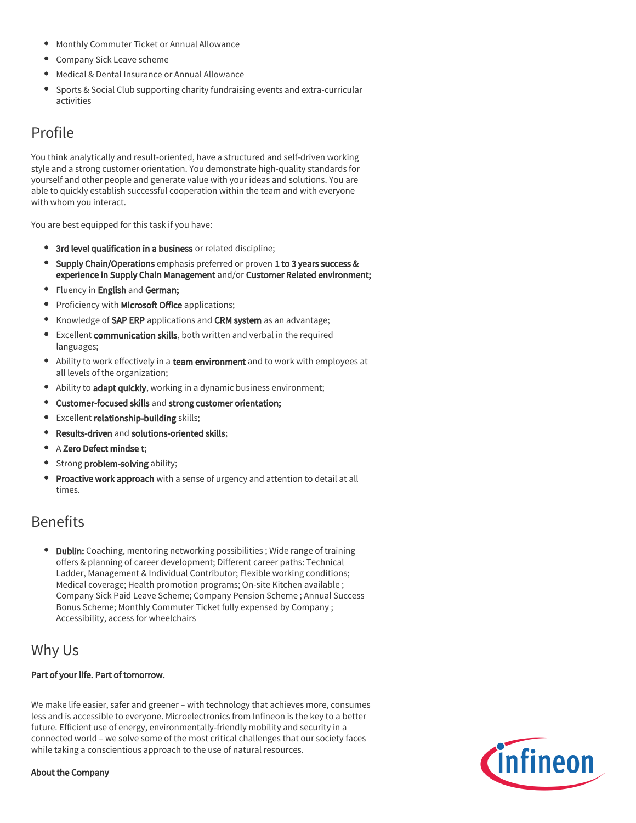- Monthly Commuter Ticket or Annual Allowance
- Company Sick Leave scheme
- Medical & Dental Insurance or Annual Allowance
- Sports & Social Club supporting charity fundraising events and extra-curricular activities

## Profile

You think analytically and result-oriented, have a structured and self-driven working style and a strong customer orientation. You demonstrate high-quality standards for yourself and other people and generate value with your ideas and solutions. You are able to quickly establish successful cooperation within the team and with everyone with whom you interact.

#### You are best equipped for this task if you have:

- 3rd level qualification in a business or related discipline;
- **Supply Chain/Operations** emphasis preferred or proven 1 to 3 years success & experience in Supply Chain Management and/or Customer Related environment;
- Fluency in English and German;
- Proficiency with Microsoft Office applications;
- Knowledge of SAP ERP applications and CRM system as an advantage;
- Excellent communication skills, both written and verbal in the required languages;
- Ability to work effectively in a team environment and to work with employees at all levels of the organization;
- Ability to adapt quickly, working in a dynamic business environment;
- Customer-focused skills and strong customer orientation;  $\bullet$
- **•** Excellent relationship-building skills;
- $\bullet$ Results-driven and solutions-oriented skills;
- A Zero Defect mindse t:
- Strong problem-solving ability;
- Proactive work approach with a sense of urgency and attention to detail at all times.

## Benefits

• Dublin: Coaching, mentoring networking possibilities ; Wide range of training offers & planning of career development; Different career paths: Technical Ladder, Management & Individual Contributor; Flexible working conditions; Medical coverage; Health promotion programs; On-site Kitchen available ; Company Sick Paid Leave Scheme; Company Pension Scheme ; Annual Success Bonus Scheme; Monthly Commuter Ticket fully expensed by Company ; Accessibility, access for wheelchairs

### Why Us

### Part of your life. Part of tomorrow.

We make life easier, safer and greener – with technology that achieves more, consumes less and is accessible to everyone. Microelectronics from Infineon is the key to a better future. Efficient use of energy, environmentally-friendly mobility and security in a connected world – we solve some of the most critical challenges that our society faces while taking a conscientious approach to the use of natural resources.